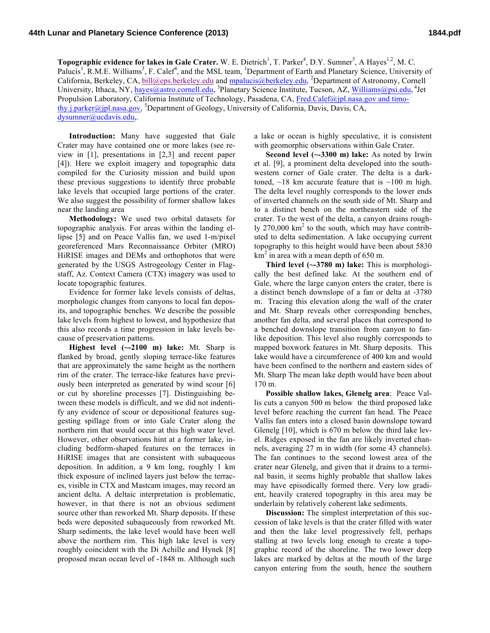**Topographic evidence for lakes in Gale Crater.** W. E. Dietrich<sup>1</sup>, T. Parker<sup>4</sup>, D.Y. Sumner<sup>5</sup>, A Hayes<sup>1,2</sup>, M. C. Palucis<sup>1</sup>, R.M.E. Williams<sup>3</sup>, F. Calef<sup>4</sup>, and the MSL team, <sup>1</sup>Department of Earth and Planetary Science, University of California, Berkeley, CA, bill@eps.berkeley.edu and mpalucis@berkeley.edu, <sup>2</sup>Department of Astronomy, Cornell University, Ithaca, NY, hayes@astro.cornell.edu, <sup>3</sup>Planetary Science Institute, Tucson, AZ, Williams@psi.edu, <sup>4</sup>Jet Propulsion Laboratory, California Institute of Technology, Pasadena, CA, Fred.Calef@jpl.nasa.gov and timothy.j.parker@jpl.nasa.gov, <sup>5</sup>Department of Geology, University of California, Davis, Davis, CA, dysumner@ucdavis.edu,.

**Introduction:** Many have suggested that Gale Crater may have contained one or more lakes (see review in [1], presentations in [2,3] and recent paper [4]). Here we exploit imagery and topographic data compiled for the Curiosity mission and build upon these previous suggestions to identify three probable lake levels that occupied large portions of the crater. We also suggest the possibility of former shallow lakes near the landing area

**Methodology:** We used two orbital datasets for topographic analysis. For areas within the landing ellipse [5] and on Peace Vallis fan, we used 1-m/pixel georeferenced Mars Reconnaissance Orbiter (MRO) HiRISE images and DEMs and orthophotos that were generated by the USGS Astrogeology Center in Flagstaff, Az. Context Camera (CTX) imagery was used to locate topographic features.

Evidence for former lake levels consists of deltas, morphologic changes from canyons to local fan deposits, and topographic benches. We describe the possible lake levels from highest to lowest, and hypothesize that this also records a time progression in lake levels because of preservation patterns.

**Highest level (~-2100 m) lake:** Mt. Sharp is flanked by broad, gently sloping terrace-like features that are approximately the same height as the northern rim of the crater. The terrace-like features have previously been interpreted as generated by wind scour [6] or cut by shoreline processes [7]. Distinguishing between these models is difficult, and we did not indentify any evidence of scour or depositional features suggesting spillage from or into Gale Crater along the northern rim that would occur at this high water level. However, other observations hint at a former lake, including bedform-shaped features on the terraces in HiRISE images that are consistent with subaqueous deposition. In addition, a 9 km long, roughly 1 km thick exposure of inclined layers just below the terraces, visible in CTX and Mastcam images, may record an ancient delta. A deltaic interpretation is problematic, however, in that there is not an obvious sediment source other than reworked Mt. Sharp deposits. If these beds were deposited subaqueously from reworked Mt. Sharp sediments, the lake level would have been well above the northern rim. This high lake level is very roughly coincident with the Di Achille and Hynek [8] proposed mean ocean level of -1848 m. Although such

a lake or ocean is highly speculative, it is consistent with geomorphic observations within Gale Crater.

**Second level (~-3300 m) lake:** As noted by Irwin et al. [9], a prominent delta developed into the southwestern corner of Gale crater. The delta is a darktoned,  $\sim$ 18 km accurate feature that is  $\sim$ 100 m high. The delta level roughly corresponds to the lower ends of inverted channels on the south side of Mt. Sharp and to a distinct bench on the northeastern side of the crater. To the west of the delta, a canyon drains roughly  $270,000 \text{ km}^2$  to the south, which may have contributed to delta sedimentation. A lake occupying current topography to this height would have been about 5830  $km<sup>2</sup>$  in area with a mean depth of 650 m.

**Third level (~-3780 m) lake:** This is morphologically the best defined lake. At the southern end of Gale, where the large canyon enters the crater, there is a distinct bench downslope of a fan or delta at -3780 m. Tracing this elevation along the wall of the crater and Mt. Sharp reveals other corresponding benches, another fan delta, and several places that correspond to a benched downslope transition from canyon to fanlike deposition. This level also roughly corresponds to mapped boxwork features in Mt. Sharp deposits. This lake would have a circumference of 400 km and would have been confined to the northern and eastern sides of Mt. Sharp The mean lake depth would have been about 170 m.

**Possible shallow lakes, Glenelg area**: Peace Vallis cuts a canyon 500 m below the third proposed lake level before reaching the current fan head. The Peace Vallis fan enters into a closed basin downslope toward Glenelg [10], which is 670 m below the third lake level. Ridges exposed in the fan are likely inverted channels, averaging 27 m in width (for some 43 channels). The fan continues to the second lowest area of the crater near Glenelg, and given that it drains to a terminal basin, it seems highly probable that shallow lakes may have episodically formed there. Very low gradient, heavily cratered topography in this area may be underlain by relatively coherent lake sediments.

**Discussion:** The simplest interpretation of this succession of lake levels is that the crater filled with water and then the lake level progressively fell, perhaps stalling at two levels long enough to create a topographic record of the shoreline. The two lower deep lakes are marked by deltas at the mouth of the large canyon entering from the south, hence the southern